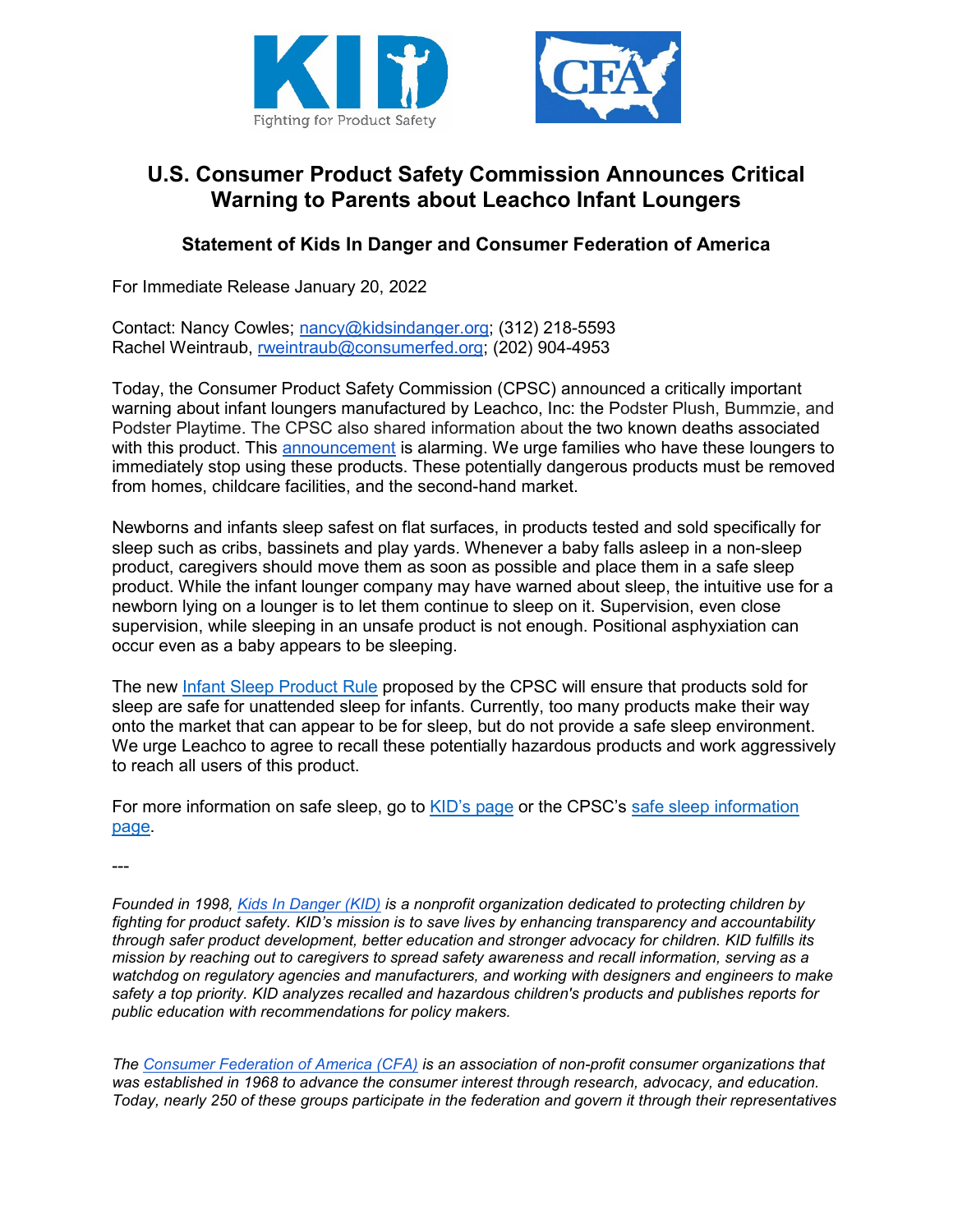



## **U.S. Consumer Product Safety Commission Announces Critical Warning to Parents about Leachco Infant Loungers**

## **Statement of Kids In Danger and Consumer Federation of America**

For Immediate Release January 20, 2022

Contact: Nancy Cowles; [nancy@kidsindanger.org;](mailto:nancy@kidsindanger.org) (312) 218-5593 Rachel Weintraub, [rweintraub@consumerfed.org;](mailto:rweintraub@consumerfed.org) (202) 904-4953

Today, the Consumer Product Safety Commission (CPSC) announced a critically important warning about infant loungers manufactured by Leachco, Inc: the Podster Plush, Bummzie, and Podster Playtime. The CPSC also shared information about the two known deaths associated with this product. This [announcement](https://www.cpsc.gov/Newsroom/News-Releases/2022/CPSC-Warns-Consumers-Stop-Using-the-Leachco-Podster-Podster-Plush-Bummzie-and-Podster-Playtime-Infant-Loungers-Due-to-Suffocation-Hazard-Two-Infant-Deaths-Investigated) is alarming. We urge families who have these loungers to immediately stop using these products. These potentially dangerous products must be removed from homes, childcare facilities, and the second-hand market.

Newborns and infants sleep safest on flat surfaces, in products tested and sold specifically for sleep such as cribs, bassinets and play yards. Whenever a baby falls asleep in a non-sleep product, caregivers should move them as soon as possible and place them in a safe sleep product. While the infant lounger company may have warned about sleep, the intuitive use for a newborn lying on a lounger is to let them continue to sleep on it. Supervision, even close supervision, while sleeping in an unsafe product is not enough. Positional asphyxiation can occur even as a baby appears to be sleeping.

The new [Infant Sleep Product Rule](https://www.govinfo.gov/content/pkg/FR-2021-06-23/pdf/2021-12723.pdf) proposed by the CPSC will ensure that products sold for sleep are safe for unattended sleep for infants. Currently, too many products make their way onto the market that can appear to be for sleep, but do not provide a safe sleep environment. We urge Leachco to agree to recall these potentially hazardous products and work aggressively to reach all users of this product.

For more information on safe sleep, go to [KID's page](https://kidsindanger.org/protect-your-child/sleep/) or the CPSC's [safe sleep information](https://www.cpsc.gov/SafeSleep)  [page.](https://www.cpsc.gov/SafeSleep)

---

*Founded in 1998, [Kids In Danger \(KID\)](http://www.kidsindanger.org/) is a nonprofit organization dedicated to protecting children by fighting for product safety. KID's mission is to save lives by enhancing transparency and accountability through safer product development, better education and stronger advocacy for children. KID fulfills its mission by reaching out to caregivers to spread safety awareness and recall information, serving as a watchdog on regulatory agencies and manufacturers, and working with designers and engineers to make safety a top priority. KID analyzes recalled and hazardous children's products and publishes reports for public education with recommendations for policy makers.*

*The [Consumer Federation of America \(CFA\)](https://consumerfed.org/) is an association of non-profit consumer organizations that was established in 1968 to advance the consumer interest through research, advocacy, and education. Today, nearly 250 of these groups participate in the federation and govern it through their representatives*